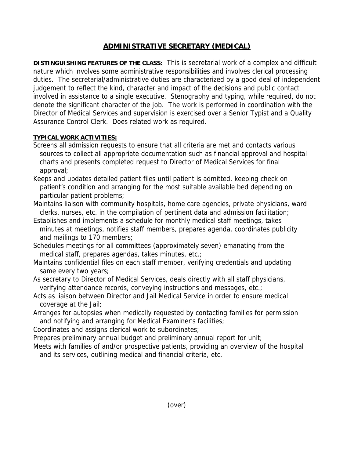## **ADMINISTRATIVE SECRETARY (MEDICAL)**

**DISTINGUISHING FEATURES OF THE CLASS:** This is secretarial work of a complex and difficult nature which involves some administrative responsibilities and involves clerical processing duties. The secretarial/administrative duties are characterized by a good deal of independent judgement to reflect the kind, character and impact of the decisions and public contact involved in assistance to a single executive. Stenography and typing, while required, do not denote the significant character of the job. The work is performed in coordination with the Director of Medical Services and supervision is exercised over a Senior Typist and a Quality Assurance Control Clerk. Does related work as required.

## **TYPICAL WORK ACTIVITIES:**

- Screens all admission requests to ensure that all criteria are met and contacts various sources to collect all appropriate documentation such as financial approval and hospital charts and presents completed request to Director of Medical Services for final approval;
- Keeps and updates detailed patient files until patient is admitted, keeping check on patient's condition and arranging for the most suitable available bed depending on particular patient problems;
- Maintains liaison with community hospitals, home care agencies, private physicians, ward clerks, nurses, etc. in the compilation of pertinent data and admission facilitation;
- Establishes and implements a schedule for monthly medical staff meetings, takes minutes at meetings, notifies staff members, prepares agenda, coordinates publicity and mailings to 170 members;
- Schedules meetings for all committees (approximately seven) emanating from the medical staff, prepares agendas, takes minutes, etc.;
- Maintains confidential files on each staff member, verifying credentials and updating same every two years;
- As secretary to Director of Medical Services, deals directly with all staff physicians, verifying attendance records, conveying instructions and messages, etc.;
- Acts as liaison between Director and Jail Medical Service in order to ensure medical coverage at the Jail;
- Arranges for autopsies when medically requested by contacting families for permission and notifying and arranging for Medical Examiner's facilities;
- Coordinates and assigns clerical work to subordinates;
- Prepares preliminary annual budget and preliminary annual report for unit;
- Meets with families of and/or prospective patients, providing an overview of the hospital and its services, outlining medical and financial criteria, etc.